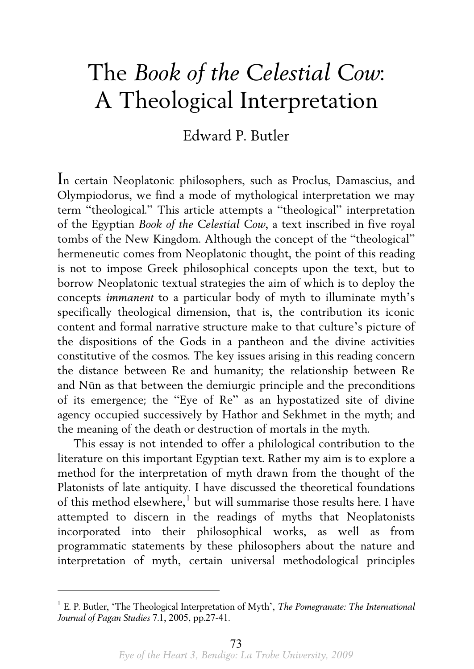## The *Book of the Celestial Cow*: A Theological Interpretation

## Edward P. Butler

In certain Neoplatonic philosophers, such as Proclus, Damascius, and Olympiodorus, we find a mode of mythological interpretation we may term "theological." This article attempts a "theological" interpretation of the Egyptian *Book of the Celestial Cow*, a text inscribed in five royal tombs of the New Kingdom. Although the concept of the "theological" hermeneutic comes from Neoplatonic thought, the point of this reading is not to impose Greek philosophical concepts upon the text, but to borrow Neoplatonic textual strategies the aim of which is to deploy the concepts *immanent* to a particular body of myth to illuminate myth's specifically theological dimension, that is, the contribution its iconic content and formal narrative structure make to that culture's picture of the dispositions of the Gods in a pantheon and the divine activities constitutive of the cosmos. The key issues arising in this reading concern the distance between Re and humanity; the relationship between Re and Nūn as that between the demiurgic principle and the preconditions of its emergence; the "Eye of Re" as an hypostatized site of divine agency occupied successively by Hathor and Sekhmet in the myth; and the meaning of the death or destruction of mortals in the myth.

 This essay is not intended to offer a philological contribution to the literature on this important Egyptian text. Rather my aim is to explore a method for the interpretation of myth drawn from the thought of the Platonists of late antiquity. I have discussed the theoretical foundations of this method elsewhere, $^{\rm l}$  but will summarise those results here. I have attempted to discern in the readings of myths that Neoplatonists incorporated into their philosophical works, as well as from programmatic statements by these philosophers about the nature and interpretation of myth, certain universal methodological principles

<span id="page-0-0"></span><sup>1</sup> E. P. Butler, 'The Theological Interpretation of Myth', *The Pomegranate: The International Journal of Pagan Studies* 7.1, 2005, pp.27-41.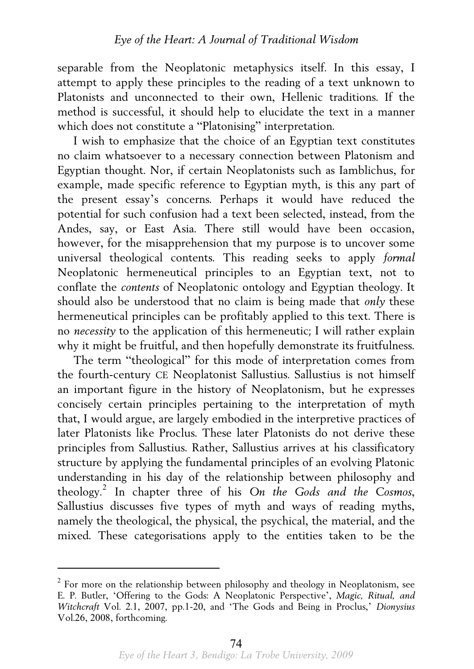separable from the Neoplatonic metaphysics itself. In this essay, I attempt to apply these principles to the reading of a text unknown to Platonists and unconnected to their own, Hellenic traditions. If the method is successful, it should help to elucidate the text in a manner which does not constitute a "Platonising" interpretation.

 I wish to emphasize that the choice of an Egyptian text constitutes no claim whatsoever to a necessary connection between Platonism and Egyptian thought. Nor, if certain Neoplatonists such as Iamblichus, for example, made specific reference to Egyptian myth, is this any part of the present essay's concerns. Perhaps it would have reduced the potential for such confusion had a text been selected, instead, from the Andes, say, or East Asia. There still would have been occasion, however, for the misapprehension that my purpose is to uncover some universal theological contents. This reading seeks to apply *formal* Neoplatonic hermeneutical principles to an Egyptian text, not to conflate the *contents* of Neoplatonic ontology and Egyptian theology. It should also be understood that no claim is being made that *only* these hermeneutical principles can be profitably applied to this text. There is no *necessity* to the application of this hermeneutic; I will rather explain why it might be fruitful, and then hopefully demonstrate its fruitfulness.

 The term "theological" for this mode of interpretation comes from the fourth-century CE Neoplatonist Sallustius. Sallustius is not himself an important figure in the history of Neoplatonism, but he expresses concisely certain principles pertaining to the interpretation of myth that, I would argue, are largely embodied in the interpretive practices of later Platonists like Proclus. These later Platonists do not derive these principles from Sallustius. Rather, Sallustius arrives at his classificatory structure by applying the fundamental principles of an evolving Platonic understanding in his day of the relationship between philosophy and theology.[2](#page-1-0) In chapter three of his *On the Gods and the Cosmos*, Sallustius discusses five types of myth and ways of reading myths, namely the theological, the physical, the psychical, the material, and the mixed. These categorisations apply to the entities taken to be the

<span id="page-1-0"></span> $2^{2}$  For more on the relationship between philosophy and theology in Neoplatonism, see E. P. Butler, 'Offering to the Gods: A Neoplatonic Perspective', *Magic, Ritual, and Witchcraft* Vol. 2.1, 2007, pp.1-20, and 'The Gods and Being in Proclus,' *Dionysius* Vol.26, 2008, forthcoming.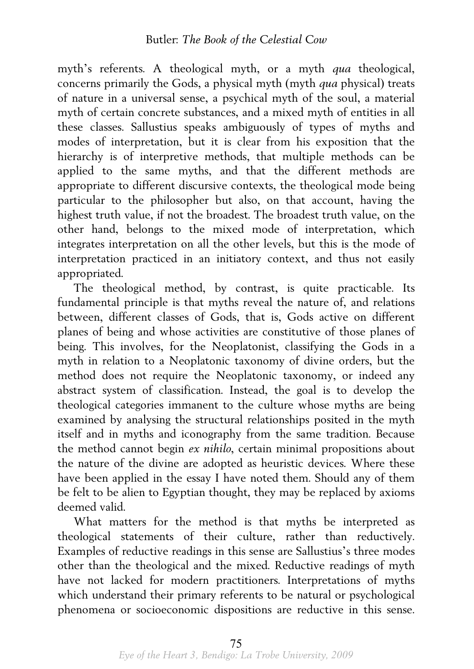myth's referents. A theological myth, or a myth *qua* theological, concerns primarily the Gods, a physical myth (myth *qua* physical) treats of nature in a universal sense, a psychical myth of the soul, a material myth of certain concrete substances, and a mixed myth of entities in all these classes. Sallustius speaks ambiguously of types of myths and modes of interpretation, but it is clear from his exposition that the hierarchy is of interpretive methods, that multiple methods can be applied to the same myths, and that the different methods are appropriate to different discursive contexts, the theological mode being particular to the philosopher but also, on that account, having the highest truth value, if not the broadest. The broadest truth value, on the other hand, belongs to the mixed mode of interpretation, which integrates interpretation on all the other levels, but this is the mode of interpretation practiced in an initiatory context, and thus not easily appropriated.

 The theological method, by contrast, is quite practicable. Its fundamental principle is that myths reveal the nature of, and relations between, different classes of Gods, that is, Gods active on different planes of being and whose activities are constitutive of those planes of being. This involves, for the Neoplatonist, classifying the Gods in a myth in relation to a Neoplatonic taxonomy of divine orders, but the method does not require the Neoplatonic taxonomy, or indeed any abstract system of classification. Instead, the goal is to develop the theological categories immanent to the culture whose myths are being examined by analysing the structural relationships posited in the myth itself and in myths and iconography from the same tradition. Because the method cannot begin *ex nihilo*, certain minimal propositions about the nature of the divine are adopted as heuristic devices. Where these have been applied in the essay I have noted them. Should any of them be felt to be alien to Egyptian thought, they may be replaced by axioms deemed valid.

 What matters for the method is that myths be interpreted as theological statements of their culture, rather than reductively. Examples of reductive readings in this sense are Sallustius's three modes other than the theological and the mixed. Reductive readings of myth have not lacked for modern practitioners. Interpretations of myths which understand their primary referents to be natural or psychological phenomena or socioeconomic dispositions are reductive in this sense.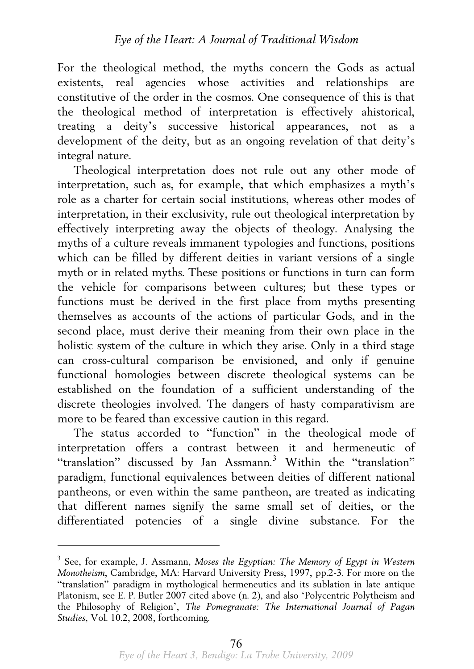For the theological method, the myths concern the Gods as actual existents, real agencies whose activities and relationships are constitutive of the order in the cosmos. One consequence of this is that the theological method of interpretation is effectively ahistorical, treating a deity's successive historical appearances, not as development of the deity, but as an ongoing revelation of that deity's integral nature.

 Theological interpretation does not rule out any other mode of interpretation, such as, for example, that which emphasizes a myth's role as a charter for certain social institutions, whereas other modes of interpretation, in their exclusivity, rule out theological interpretation by effectively interpreting away the objects of theology. Analysing the myths of a culture reveals immanent typologies and functions, positions which can be filled by different deities in variant versions of a single myth or in related myths. These positions or functions in turn can form the vehicle for comparisons between cultures; but these types or functions must be derived in the first place from myths presenting themselves as accounts of the actions of particular Gods, and in the second place, must derive their meaning from their own place in the holistic system of the culture in which they arise. Only in a third stage can cross-cultural comparison be envisioned, and only if genuine functional homologies between discrete theological systems can be established on the foundation of a sufficient understanding of the discrete theologies involved. The dangers of hasty comparativism are more to be feared than excessive caution in this regard.

 The status accorded to "function" in the theological mode of interpretation offers a contrast between it and hermeneutic of "translation" discussed by Jan Assmann.<sup>[3](#page-3-0)</sup> Within the "translation" paradigm, functional equivalences between deities of different national pantheons, or even within the same pantheon, are treated as indicating that different names signify the same small set of deities, or the differentiated potencies of a single divine substance. For the

<span id="page-3-0"></span><sup>3</sup> See, for example, J. Assmann, *Moses the Egyptian: The Memory of Egypt in Western Monotheism*, Cambridge, MA: Harvard University Press, 1997, pp.2-3. For more on the "translation" paradigm in mythological hermeneutics and its sublation in late antique Platonism, see E. P. Butler 2007 cited above (n. 2), and also 'Polycentric Polytheism and the Philosophy of Religion', *The Pomegranate: The International Journal of Pagan Studies*, Vol. 10.2, 2008, forthcoming.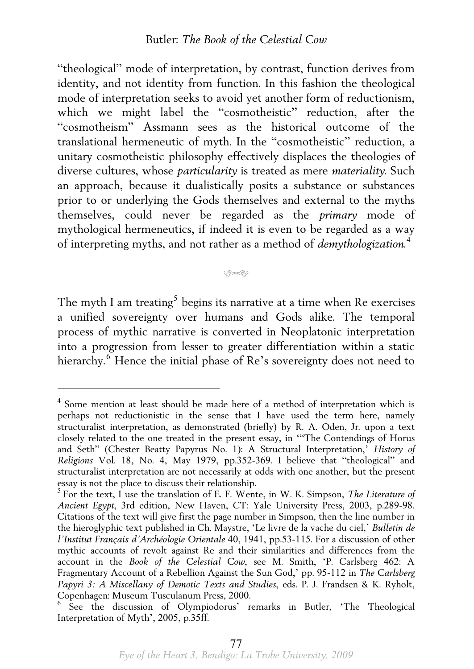"theological" mode of interpretation, by contrast, function derives from identity, and not identity from function. In this fashion the theological mode of interpretation seeks to avoid yet another form of reductionism, which we might label the "cosmotheistic" reduction, after the "cosmotheism" Assmann sees as the historical outcome of the translational hermeneutic of myth. In the "cosmotheistic" reduction, a unitary cosmotheistic philosophy effectively displaces the theologies of diverse cultures, whose *particularity* is treated as mere *materiality*. Such an approach, because it dualistically posits a substance or substances prior to or underlying the Gods themselves and external to the myths themselves, could never be regarded as the *primary* mode of mythological hermeneutics, if indeed it is even to be regarded as a way of interpreting myths, and not rather as a method of *demythologization*. [4](#page-4-0)

## يهيج

The myth I am treating $^5$  $^5$  begins its narrative at a time when Re exercises a unified sovereignty over humans and Gods alike. The temporal process of mythic narrative is converted in Neoplatonic interpretation into a progression from lesser to greater differentiation within a static hierarchy.<sup>[6](#page-4-2)</sup> Hence the initial phase of Re's sovereignty does not need to

<span id="page-4-0"></span><sup>4</sup> Some mention at least should be made here of a method of interpretation which is perhaps not reductionistic in the sense that I have used the term here, namely structuralist interpretation, as demonstrated (briefly) by R. A. Oden, Jr. upon a text closely related to the one treated in the present essay, in '"The Contendings of Horus and Seth" (Chester Beatty Papyrus No. 1): A Structural Interpretation,' *History of Religions* Vol. 18, No. 4, May 1979, pp.352-369. I believe that "theological" and structuralist interpretation are not necessarily at odds with one another, but the present essay is not the place to discuss their relationship.<br><sup>5</sup> For the text, I use the translation of E. F. Wente, in W. K. Simpson, *The Literature of* 

<span id="page-4-1"></span>*Ancient Egypt*, 3rd edition, New Haven, CT: Yale University Press, 2003, p.289-98. Citations of the text will give first the page number in Simpson, then the line number in the hieroglyphic text published in Ch. Maystre, 'Le livre de la vache du ciel,' *Bulletin de l'Institut Français d'Archéologie Orientale* 40, 1941, pp.53-115. For a discussion of other mythic accounts of revolt against Re and their similarities and differences from the account in the *Book of the Celestial Cow*, see M. Smith, 'P. Carlsberg 462: A Fragmentary Account of a Rebellion Against the Sun God,' pp. 95-112 in *The Carlsberg Papyri 3: A Miscellany of Demotic Texts and Studies*, eds. P. J. Frandsen & K. Ryholt, Copenhagen: Museum Tusculanum Press, 2000.

<span id="page-4-2"></span><sup>6</sup> See the discussion of Olympiodorus' remarks in Butler, 'The Theological Interpretation of Myth', 2005, p.35ff.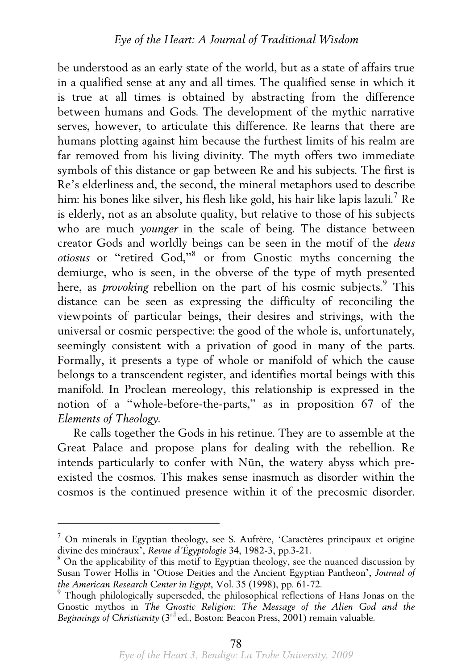be understood as an early state of the world, but as a state of affairs true in a qualified sense at any and all times. The qualified sense in which it is true at all times is obtained by abstracting from the difference between humans and Gods. The development of the mythic narrative serves, however, to articulate this difference. Re learns that there are humans plotting against him because the furthest limits of his realm are far removed from his living divinity. The myth offers two immediate symbols of this distance or gap between Re and his subjects. The first is Re's elderliness and, the second, the mineral metaphors used to describe him: his bones like silver, his flesh like gold, his hair like lapis lazuli. $^7$  $^7$  Re is elderly, not as an absolute quality, but relative to those of his subjects who are much *younger* in the scale of being. The distance between creator Gods and worldly beings can be seen in the motif of the *deus otiosus* or "retired God,"[8](#page-5-1) or from Gnostic myths concerning the demiurge, who is seen, in the obverse of the type of myth presented here, as *provoking* rebellion on the part of his cosmic subjects.<sup>[9](#page-5-2)</sup> This distance can be seen as expressing the difficulty of reconciling the viewpoints of particular beings, their desires and strivings, with the universal or cosmic perspective: the good of the whole is, unfortunately, seemingly consistent with a privation of good in many of the parts. Formally, it presents a type of whole or manifold of which the cause belongs to a transcendent register, and identifies mortal beings with this manifold. In Proclean mereology, this relationship is expressed in the notion of a "whole-before-the-parts," as in proposition 67 of the *Elements of Theology*.

 Re calls together the Gods in his retinue. They are to assemble at the Great Palace and propose plans for dealing with the rebellion. Re intends particularly to confer with Nūn, the watery abyss which preexisted the cosmos. This makes sense inasmuch as disorder within the cosmos is the continued presence within it of the precosmic disorder.

<span id="page-5-0"></span><sup>&</sup>lt;sup>7</sup> On minerals in Egyptian theology, see S. Aufrère, 'Caractères principaux et origine divine des minéraux', *Revue d'Égyptologie* 34, 1982-3, pp.3-21. 8

<span id="page-5-1"></span><sup>&</sup>lt;sup>8</sup> On the applicability of this motif to Egyptian theology, see the nuanced discussion by Susan Tower Hollis in 'Otiose Deities and the Ancient Egyptian Pantheon', *Journal of the American Research Center in Egypt*, Vol. 35 (1998), pp. 61-72. 9

<span id="page-5-2"></span> $<sup>9</sup>$  Though philologically superseded, the philosophical reflections of Hans Jonas on the</sup> Gnostic mythos in *The Gnostic Religion: The Message of the Alien God and the Beginnings of Christianity* (3rd ed., Boston: Beacon Press, 2001) remain valuable.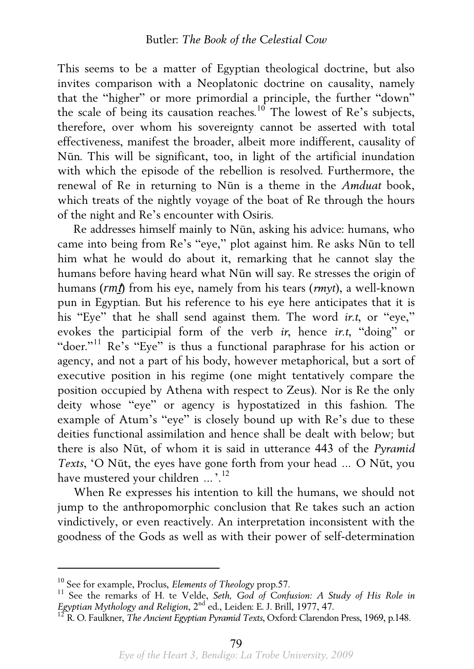This seems to be a matter of Egyptian theological doctrine, but also invites comparison with a Neoplatonic doctrine on causality, namely that the "higher" or more primordial a principle, the further "down" the scale of being its causation reaches.<sup>[10](#page-6-0)</sup> The lowest of Re's subjects, therefore, over whom his sovereignty cannot be asserted with total effectiveness, manifest the broader, albeit more indifferent, causality of Nūn. This will be significant, too, in light of the artificial inundation with which the episode of the rebellion is resolved. Furthermore, the renewal of Re in returning to Nūn is a theme in the *Amduat* book, which treats of the nightly voyage of the boat of Re through the hours of the night and Re's encounter with Osiris.

 Re addresses himself mainly to Nūn, asking his advice: humans, who came into being from Re's "eye," plot against him. Re asks Nūn to tell him what he would do about it, remarking that he cannot slay the humans before having heard what Nūn will say. Re stresses the origin of humans (*rm*ṯ) from his eye, namely from his tears (*rmyt*), a well-known pun in Egyptian. But his reference to his eye here anticipates that it is his "Eye" that he shall send against them. The word *ir.t*, or "eye," evokes the participial form of the verb *ir*, hence *ir.t*, "doing" or "doer."<sup>[11](#page-6-1)</sup> Re's "Eye" is thus a functional paraphrase for his action or agency, and not a part of his body, however metaphorical, but a sort of executive position in his regime (one might tentatively compare the position occupied by Athena with respect to Zeus). Nor is Re the only deity whose "eye" or agency is hypostatized in this fashion. The example of Atum's "eye" is closely bound up with Re's due to these deities functional assimilation and hence shall be dealt with below; but there is also Nūt, of whom it is said in utterance 443 of the *Pyramid Texts*, 'O Nūt, the eyes have gone forth from your head … O Nūt, you have mustered your children ...'.<sup>[12](#page-6-2)</sup>

 When Re expresses his intention to kill the humans, we should not jump to the anthropomorphic conclusion that Re takes such an action vindictively, or even reactively. An interpretation inconsistent with the goodness of the Gods as well as with their power of self-determination

<span id="page-6-1"></span><span id="page-6-0"></span><sup>&</sup>lt;sup>10</sup> See for example, Proclus, *Elements of Theology* prop.57.<br><sup>11</sup> See the remarks of H. te Velde, *Seth, God of Confusion: A Study of His Role in <i>Egyptian Mythology and Religion*, 2<sup>nd</sup> ed., Leiden: E. J. Brill, 1977, 4

<span id="page-6-2"></span><sup>&</sup>lt;sup>12</sup> R. O. Faulkner, *The Ancient Egyptian Pyramid Texts*, Oxford: Clarendon Press, 1969, p.148.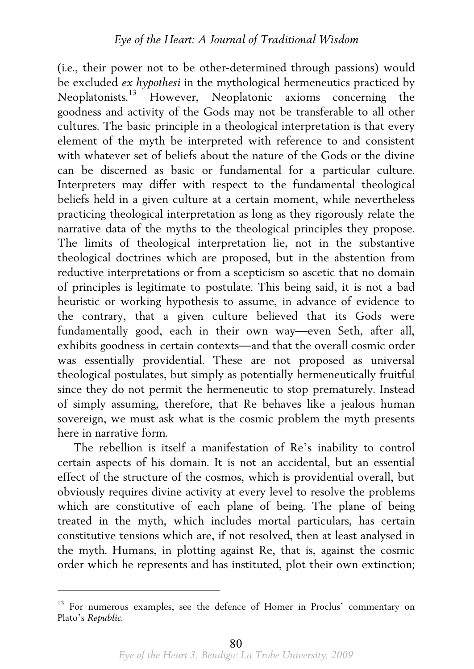(i.e., their power not to be other-determined through passions) would be excluded *ex hypothesi* in the mythological hermeneutics practiced by Neoplatonists.[13](#page-7-0) However, Neoplatonic axioms concerning the goodness and activity of the Gods may not be transferable to all other cultures. The basic principle in a theological interpretation is that every element of the myth be interpreted with reference to and consistent with whatever set of beliefs about the nature of the Gods or the divine can be discerned as basic or fundamental for a particular culture. Interpreters may differ with respect to the fundamental theological beliefs held in a given culture at a certain moment, while nevertheless practicing theological interpretation as long as they rigorously relate the narrative data of the myths to the theological principles they propose. The limits of theological interpretation lie, not in the substantive theological doctrines which are proposed, but in the abstention from reductive interpretations or from a scepticism so ascetic that no domain of principles is legitimate to postulate. This being said, it is not a bad heuristic or working hypothesis to assume, in advance of evidence to the contrary, that a given culture believed that its Gods were fundamentally good, each in their own way—even Seth, after all, exhibits goodness in certain contexts—and that the overall cosmic order was essentially providential. These are not proposed as universal theological postulates, but simply as potentially hermeneutically fruitful since they do not permit the hermeneutic to stop prematurely. Instead of simply assuming, therefore, that Re behaves like a jealous human sovereign, we must ask what is the cosmic problem the myth presents here in narrative form.

 The rebellion is itself a manifestation of Re's inability to control certain aspects of his domain. It is not an accidental, but an essential effect of the structure of the cosmos, which is providential overall, but obviously requires divine activity at every level to resolve the problems which are constitutive of each plane of being. The plane of being treated in the myth, which includes mortal particulars, has certain constitutive tensions which are, if not resolved, then at least analysed in the myth. Humans, in plotting against Re, that is, against the cosmic order which he represents and has instituted, plot their own extinction;

<span id="page-7-0"></span><sup>&</sup>lt;sup>13</sup> For numerous examples, see the defence of Homer in Proclus' commentary on Plato's *Republic*.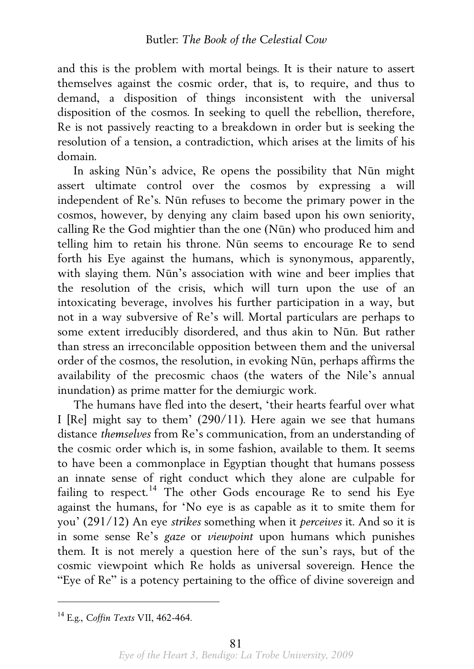and this is the problem with mortal beings. It is their nature to assert themselves against the cosmic order, that is, to require, and thus to demand, a disposition of things inconsistent with the universal disposition of the cosmos. In seeking to quell the rebellion, therefore, Re is not passively reacting to a breakdown in order but is seeking the resolution of a tension, a contradiction, which arises at the limits of his domain.

 In asking Nūn's advice, Re opens the possibility that Nūn might assert ultimate control over the cosmos by expressing a will independent of Re's. Nūn refuses to become the primary power in the cosmos, however, by denying any claim based upon his own seniority, calling Re the God mightier than the one (Nūn) who produced him and telling him to retain his throne. Nūn seems to encourage Re to send forth his Eye against the humans, which is synonymous, apparently, with slaying them. Nūn's association with wine and beer implies that the resolution of the crisis, which will turn upon the use of an intoxicating beverage, involves his further participation in a way, but not in a way subversive of Re's will. Mortal particulars are perhaps to some extent irreducibly disordered, and thus akin to Nūn. But rather than stress an irreconcilable opposition between them and the universal order of the cosmos, the resolution, in evoking Nūn, perhaps affirms the availability of the precosmic chaos (the waters of the Nile's annual inundation) as prime matter for the demiurgic work.

 The humans have fled into the desert, 'their hearts fearful over what I [Re] might say to them' (290/11). Here again we see that humans distance *themselves* from Re's communication, from an understanding of the cosmic order which is, in some fashion, available to them. It seems to have been a commonplace in Egyptian thought that humans possess an innate sense of right conduct which they alone are culpable for failing to respect.<sup>[14](#page-8-0)</sup> The other Gods encourage Re to send his Eye against the humans, for 'No eye is as capable as it to smite them for you' (291/12) An eye *strikes* something when it *perceives* it. And so it is in some sense Re's *gaze* or *viewpoint* upon humans which punishes them. It is not merely a question here of the sun's rays, but of the cosmic viewpoint which Re holds as universal sovereign. Hence the "Eye of Re" is a potency pertaining to the office of divine sovereign and

<span id="page-8-0"></span><sup>14</sup> E.g., *Coffin Texts* VII, 462-464.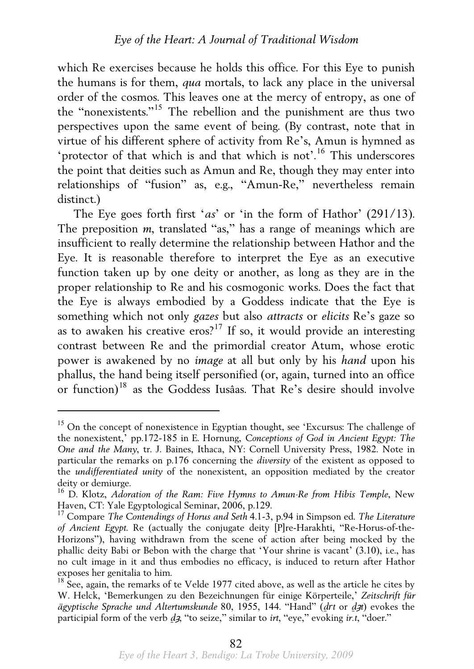which Re exercises because he holds this office. For this Eye to punish the humans is for them, *qua* mortals, to lack any place in the universal order of the cosmos. This leaves one at the mercy of entropy, as one of the "nonexistents."[15](#page-9-0) The rebellion and the punishment are thus two perspectives upon the same event of being. (By contrast, note that in virtue of his different sphere of activity from Re's, Amun is hymned as 'protector of that which is and that which is not'.<sup>[16](#page-9-1)</sup> This underscores the point that deities such as Amun and Re, though they may enter into relationships of "fusion" as, e.g., "Amun-Re," nevertheless remain distinct.)

 The Eye goes forth first '*as*' or 'in the form of Hathor' (291/13). The preposition *m*, translated "as," has a range of meanings which are insufficient to really determine the relationship between Hathor and the Eye. It is reasonable therefore to interpret the Eye as an executive function taken up by one deity or another, as long as they are in the proper relationship to Re and his cosmogonic works. Does the fact that the Eye is always embodied by a Goddess indicate that the Eye is something which not only *gazes* but also *attracts* or *elicits* Re's gaze so as to awaken his creative eros?<sup>[17](#page-9-2)</sup> If so, it would provide an interesting contrast between Re and the primordial creator Atum, whose erotic power is awakened by no *image* at all but only by his *hand* upon his phallus, the hand being itself personified (or, again, turned into an office or function)[18](#page-9-3) as the Goddess Iusâas. That Re's desire should involve

<span id="page-9-0"></span> $15$  On the concept of nonexistence in Egyptian thought, see 'Excursus: The challenge of the nonexistent,' pp.172-185 in E. Hornung, *Conceptions of God in Ancient Egypt: The One and the Many*, tr. J. Baines, Ithaca, NY: Cornell University Press, 1982. Note in particular the remarks on p.176 concerning the *diversity* of the existent as opposed to the *undifferentiated unity* of the nonexistent, an opposition mediated by the creator deity or demiurge.

<span id="page-9-1"></span><sup>&</sup>lt;sup>16</sup> D. Klotz, *Adoration of the Ram: Five Hymns to Amun-Re from Hibis Temple*, New Haven, CT: Yale Egyptological Seminar, 2006, p.129.

<span id="page-9-2"></span><sup>&</sup>lt;sup>17</sup> Compare *The Contendings of Horus and Seth* 4.1-3, p.94 in Simpson ed. *The Literature of Ancient Egypt*. Re (actually the conjugate deity [P]re-Harakhti, "Re-Horus-of-the-Horizons"), having withdrawn from the scene of action after being mocked by the phallic deity Babi or Bebon with the charge that 'Your shrine is vacant' (3.10), i.e., has no cult image in it and thus embodies no efficacy, is induced to return after Hathor exposes her genitalia to him.

<span id="page-9-3"></span> $18$  See, again, the remarks of te Velde 1977 cited above, as well as the article he cites by W. Helck, 'Bemerkungen zu den Bezeichnungen für einige Körperteile,' *Zeitschrift für ägyptische Sprache und Altertumskunde* 80, 1955, 144. "Hand" (*d*̠*rt* or *d*̠<sup>ȝ</sup>*t*) evokes the participial form of the verb *d*̠<sup>ȝ</sup>, "to seize," similar to *irt*, "eye," evoking *ir.t*, "doer."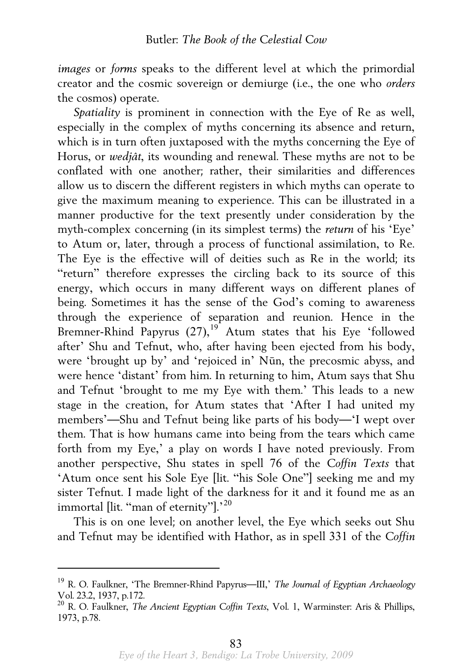*images* or *forms* speaks to the different level at which the primordial creator and the cosmic sovereign or demiurge (i.e., the one who *orders* the cosmos) operate.

Spatiality is prominent in connection with the Eve of Re as well. especially in the complex of myths concerning its absence and return, which is in turn often juxtaposed with the myths concerning the Eye of Horus, or *wedjât*, its wounding and renewal. These myths are not to be conflated with one another; rather, their similarities and differences allow us to discern the different registers in which myths can operate to give the maximum meaning to experience. This can be illustrated in a manner productive for the text presently under consideration by the myth-complex concerning (in its simplest terms) the *return* of his 'Eye' to Atum or, later, through a process of functional assimilation, to Re. The Eye is the effective will of deities such as Re in the world; its "return" therefore expresses the circling back to its source of this energy, which occurs in many different ways on different planes of being. Sometimes it has the sense of the God's coming to awareness through the experience of separation and reunion. Hence in the Bremner-Rhind Papyrus (27),<sup>[19](#page-10-0)</sup> Atum states that his Eye 'followed after' Shu and Tefnut, who, after having been ejected from his body, were 'brought up by' and 'rejoiced in' Nūn, the precosmic abyss, and were hence 'distant' from him. In returning to him, Atum says that Shu and Tefnut 'brought to me my Eye with them.' This leads to a new stage in the creation, for Atum states that 'After I had united my members'—Shu and Tefnut being like parts of his body—'I wept over them. That is how humans came into being from the tears which came forth from my Eye,' a play on words I have noted previously. From another perspective, Shu states in spell 76 of the *Coffin Texts* that 'Atum once sent his Sole Eye [lit. "his Sole One"] seeking me and my sister Tefnut. I made light of the darkness for it and it found me as an immortal llit. "man of eternity"].'<sup>[20](#page-10-1)</sup>

 This is on one level; on another level, the Eye which seeks out Shu and Tefnut may be identified with Hathor, as in spell 331 of the *Coffin* 

<span id="page-10-0"></span><sup>19</sup> R. O. Faulkner, 'The Bremner-Rhind Papyrus—III,' *The Journal of Egyptian Archaeology*  Vol. 23.2, 1937, p.172.

<span id="page-10-1"></span><sup>20</sup> R. O. Faulkner, *The Ancient Egyptian Coffin Texts*, Vol. 1, Warminster: Aris & Phillips, 1973, p.78.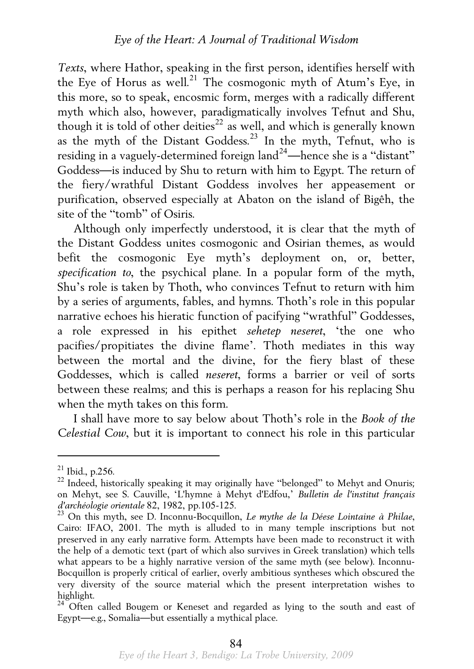*Texts*, where Hathor, speaking in the first person, identifies herself with the Eye of Horus as well.<sup>[21](#page-11-0)</sup> The cosmogonic myth of Atum's Eye, in this more, so to speak, encosmic form, merges with a radically different myth which also, however, paradigmatically involves Tefnut and Shu, though it is told of other deities<sup>[22](#page-11-1)</sup> as well, and which is generally known as the myth of the Distant Goddess.<sup>[23](#page-11-2)</sup> In the myth, Tefnut, who is residing in a vaguely-determined foreign land<sup>[24](#page-11-3)</sup>—hence she is a "distant" Goddess—is induced by Shu to return with him to Egypt. The return of the fiery/wrathful Distant Goddess involves her appeasement or purification, observed especially at Abaton on the island of Bigêh, the site of the "tomb" of Osiris.

 Although only imperfectly understood, it is clear that the myth of the Distant Goddess unites cosmogonic and Osirian themes, as would befit the cosmogonic Eye myth's deployment on, or, better, *specification to*, the psychical plane. In a popular form of the myth, Shu's role is taken by Thoth, who convinces Tefnut to return with him by a series of arguments, fables, and hymns. Thoth's role in this popular narrative echoes his hieratic function of pacifying "wrathful" Goddesses, a role expressed in his epithet *sehetep neseret*, 'the one who pacifies/propitiates the divine flame'. Thoth mediates in this way between the mortal and the divine, for the fiery blast of these Goddesses, which is called *neseret*, forms a barrier or veil of sorts between these realms; and this is perhaps a reason for his replacing Shu when the myth takes on this form.

 I shall have more to say below about Thoth's role in the *Book of the Celestial Cow*, but it is important to connect his role in this particular

<span id="page-11-1"></span><span id="page-11-0"></span><sup>&</sup>lt;sup>21</sup> Ibid., p.256.<br><sup>22</sup> Indeed, historically speaking it may originally have "belonged" to Mehyt and Onuris; on Mehyt, see S. Cauville, 'L'hymne à Mehyt d'Edfou,' *Bulletin de l'institut français* 

<span id="page-11-2"></span><sup>&</sup>lt;sup>23</sup> On this myth, see D. Inconnu-Bocquillon, *Le mythe de la Déese Lointaine à Philae*, Cairo: IFAO, 2001. The myth is alluded to in many temple inscriptions but not preserved in any early narrative form. Attempts have been made to reconstruct it with the help of a demotic text (part of which also survives in Greek translation) which tells what appears to be a highly narrative version of the same myth (see below). Inconnu-Bocquillon is properly critical of earlier, overly ambitious syntheses which obscured the very diversity of the source material which the present interpretation wishes to highlight.

<span id="page-11-3"></span><sup>&</sup>lt;sup>24</sup> Often called Bougem or Keneset and regarded as lying to the south and east of Egypt—e.g., Somalia—but essentially a mythical place.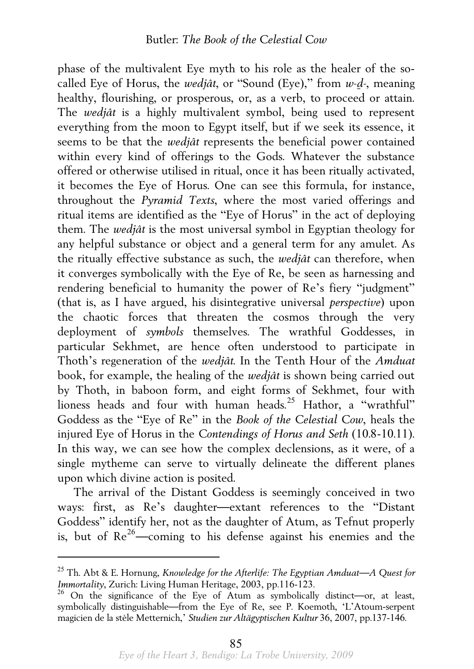phase of the multivalent Eye myth to his role as the healer of the socalled Eye of Horus, the *wedjât*, or "Sound (Eye)," from *w-d*̠*-*, meaning healthy, flourishing, or prosperous, or, as a verb, to proceed or attain. The *wedjât* is a highly multivalent symbol, being used to represent everything from the moon to Egypt itself, but if we seek its essence, it seems to be that the *wedjât* represents the beneficial power contained within every kind of offerings to the Gods. Whatever the substance offered or otherwise utilised in ritual, once it has been ritually activated, it becomes the Eye of Horus. One can see this formula, for instance, throughout the *Pyramid Texts*, where the most varied offerings and ritual items are identified as the "Eye of Horus" in the act of deploying them. The *wedjât* is the most universal symbol in Egyptian theology for any helpful substance or object and a general term for any amulet. As the ritually effective substance as such, the *wedjât* can therefore, when it converges symbolically with the Eye of Re, be seen as harnessing and rendering beneficial to humanity the power of Re's fiery "judgment" (that is, as I have argued, his disintegrative universal *perspective*) upon the chaotic forces that threaten the cosmos through the very deployment of *symbols* themselves. The wrathful Goddesses, in particular Sekhmet, are hence often understood to participate in Thoth's regeneration of the *wedjât*. In the Tenth Hour of the *Amduat* book, for example, the healing of the *wedjât* is shown being carried out by Thoth, in baboon form, and eight forms of Sekhmet, four with lioness heads and four with human heads.<sup>[25](#page-12-0)</sup> Hathor, a "wrathful" Goddess as the "Eye of Re" in the *Book of the Celestial Cow*, heals the injured Eye of Horus in the *Contendings of Horus and Seth* (10.8-10.11). In this way, we can see how the complex declensions, as it were, of a single mytheme can serve to virtually delineate the different planes upon which divine action is posited.

 The arrival of the Distant Goddess is seemingly conceived in two ways: first, as Re's daughter—extant references to the "Distant Goddess" identify her, not as the daughter of Atum, as Tefnut properly is, but of  $Re^{26}$  $Re^{26}$  $Re^{26}$ —coming to his defense against his enemies and the

<span id="page-12-0"></span><sup>&</sup>lt;sup>25</sup> Th. Abt & E. Hornung, *Knowledge for the Afterlife: The Egyptian Amduat—A Quest for Immortality, Zurich: Living Human Heritage, 2003, pp.116-123.* 

<span id="page-12-1"></span><sup>&</sup>lt;sup>26</sup> On the significance of the Eye of Atum as symbolically distinct—or, at least, symbolically distinguishable—from the Eye of Re, see P. Koemoth, 'L'Atoum-serpent magicien de la stèle Metternich,' *Studien zur Altägyptischen Kultur* 36, 2007, pp.137-146.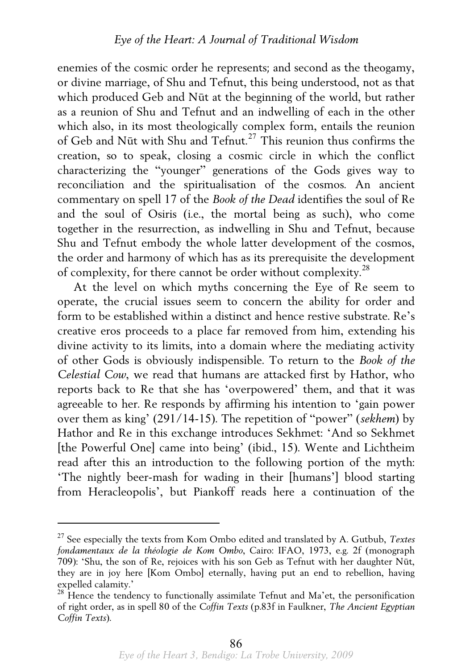enemies of the cosmic order he represents; and second as the theogamy, or divine marriage, of Shu and Tefnut, this being understood, not as that which produced Geb and Nūt at the beginning of the world, but rather as a reunion of Shu and Tefnut and an indwelling of each in the other which also, in its most theologically complex form, entails the reunion of Geb and Nūt with Shu and Tefnut.[27](#page-13-0) This reunion thus confirms the creation, so to speak, closing a cosmic circle in which the conflict characterizing the "younger" generations of the Gods gives way to reconciliation and the spiritualisation of the cosmos. An ancient commentary on spell 17 of the *Book of the Dead* identifies the soul of Re and the soul of Osiris (i.e., the mortal being as such), who come together in the resurrection, as indwelling in Shu and Tefnut, because Shu and Tefnut embody the whole latter development of the cosmos, the order and harmony of which has as its prerequisite the development of complexity, for there cannot be order without complexity.[28](#page-13-1)

 At the level on which myths concerning the Eye of Re seem to operate, the crucial issues seem to concern the ability for order and form to be established within a distinct and hence restive substrate. Re's creative eros proceeds to a place far removed from him, extending his divine activity to its limits, into a domain where the mediating activity of other Gods is obviously indispensible. To return to the *Book of the Celestial Cow*, we read that humans are attacked first by Hathor, who reports back to Re that she has 'overpowered' them, and that it was agreeable to her. Re responds by affirming his intention to 'gain power over them as king' (291/14-15). The repetition of "power" (*sekhem*) by Hathor and Re in this exchange introduces Sekhmet: 'And so Sekhmet [the Powerful One] came into being' (ibid., 15). Wente and Lichtheim read after this an introduction to the following portion of the myth: 'The nightly beer-mash for wading in their [humans'] blood starting from Heracleopolis', but Piankoff reads here a continuation of the

<span id="page-13-0"></span><sup>27</sup> See especially the texts from Kom Ombo edited and translated by A. Gutbub, *Textes fondamentaux de la théologie de Kom Ombo*, Cairo: IFAO, 1973, e.g. 2f (monograph 709): 'Shu, the son of Re, rejoices with his son Geb as Tefnut with her daughter Nūt, they are in joy here [Kom Ombo] eternally, having put an end to rebellion, having expelled calamity.'

<span id="page-13-1"></span> $28$  Hence the tendency to functionally assimilate Tefnut and Ma'et, the personification of right order, as in spell 80 of the *Coffin Texts* (p.83f in Faulkner, *The Ancient Egyptian Coffin Texts*).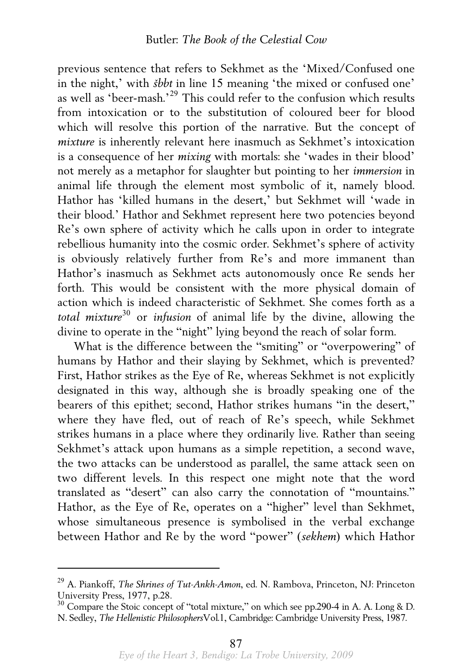previous sentence that refers to Sekhmet as the 'Mixed/Confused one in the night,' with *šbbt* in line 15 meaning 'the mixed or confused one' as well as 'beer-mash.'[29](#page-14-0) This could refer to the confusion which results from intoxication or to the substitution of coloured beer for blood which will resolve this portion of the narrative. But the concept of *mixture* is inherently relevant here inasmuch as Sekhmet's intoxication is a consequence of her *mixing* with mortals: she 'wades in their blood' not merely as a metaphor for slaughter but pointing to her *immersion* in animal life through the element most symbolic of it, namely blood. Hathor has 'killed humans in the desert,' but Sekhmet will 'wade in their blood.' Hathor and Sekhmet represent here two potencies beyond Re's own sphere of activity which he calls upon in order to integrate rebellious humanity into the cosmic order. Sekhmet's sphere of activity is obviously relatively further from Re's and more immanent than Hathor's inasmuch as Sekhmet acts autonomously once Re sends her forth. This would be consistent with the more physical domain of action which is indeed characteristic of Sekhmet. She comes forth as a total mixture<sup>[30](#page-14-1)</sup> or *infusion* of animal life by the divine, allowing the divine to operate in the "night" lying beyond the reach of solar form.

 What is the difference between the "smiting" or "overpowering" of humans by Hathor and their slaying by Sekhmet, which is prevented? First, Hathor strikes as the Eye of Re, whereas Sekhmet is not explicitly designated in this way, although she is broadly speaking one of the bearers of this epithet; second, Hathor strikes humans "in the desert," where they have fled, out of reach of Re's speech, while Sekhmet strikes humans in a place where they ordinarily live. Rather than seeing Sekhmet's attack upon humans as a simple repetition, a second wave, the two attacks can be understood as parallel, the same attack seen on two different levels. In this respect one might note that the word translated as "desert" can also carry the connotation of "mountains." Hathor, as the Eye of Re, operates on a "higher" level than Sekhmet, whose simultaneous presence is symbolised in the verbal exchange between Hathor and Re by the word "power" (*sekhem*) which Hathor

<span id="page-14-0"></span><sup>29</sup> A. Piankoff, *The Shrines of Tut-Ankh-Amon*, ed. N. Rambova, Princeton, NJ: Princeton University Press, 1977, p.28.

<span id="page-14-1"></span><sup>&</sup>lt;sup>30</sup> Compare the Stoic concept of "total mixture," on which see pp.290-4 in A. A. Long & D. N. Sedley, *The Hellenistic Philosophers*Vol.1, Cambridge: Cambridge University Press, 1987.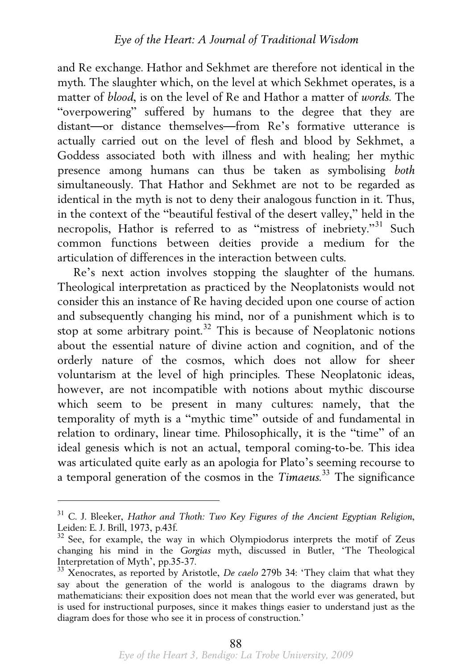and Re exchange. Hathor and Sekhmet are therefore not identical in the myth. The slaughter which, on the level at which Sekhmet operates, is a matter of *blood*, is on the level of Re and Hathor a matter of *words*. The "overpowering" suffered by humans to the degree that they are distant—or distance themselves—from Re's formative utterance is actually carried out on the level of flesh and blood by Sekhmet, a Goddess associated both with illness and with healing; her mythic presence among humans can thus be taken as symbolising *both* simultaneously. That Hathor and Sekhmet are not to be regarded as identical in the myth is not to deny their analogous function in it. Thus, in the context of the "beautiful festival of the desert valley," held in the necropolis, Hathor is referred to as "mistress of inebriety."[31](#page-15-0) Such common functions between deities provide a medium for the articulation of differences in the interaction between cults.

 Re's next action involves stopping the slaughter of the humans. Theological interpretation as practiced by the Neoplatonists would not consider this an instance of Re having decided upon one course of action and subsequently changing his mind, nor of a punishment which is to stop at some arbitrary point.<sup>[32](#page-15-1)</sup> This is because of Neoplatonic notions about the essential nature of divine action and cognition, and of the orderly nature of the cosmos, which does not allow for sheer voluntarism at the level of high principles. These Neoplatonic ideas, however, are not incompatible with notions about mythic discourse which seem to be present in many cultures: namely, that the temporality of myth is a "mythic time" outside of and fundamental in relation to ordinary, linear time. Philosophically, it is the "time" of an ideal genesis which is not an actual, temporal coming-to-be. This idea was articulated quite early as an apologia for Plato's seeming recourse to a temporal generation of the cosmos in the *Timaeus*. [33](#page-15-2) The significance

<span id="page-15-0"></span><sup>31</sup> C. J. Bleeker, *Hathor and Thoth: Two Key Figures of the Ancient Egyptian Religion*, Leiden: E. J. Brill, 1973, p.43f.

<span id="page-15-1"></span><sup>&</sup>lt;sup>32</sup> See, for example, the way in which Olympiodorus interprets the motif of Zeus changing his mind in the *Gorgias* myth, discussed in Butler, 'The Theological Interpretation of Myth', pp.35-37.

<span id="page-15-2"></span><sup>&</sup>lt;sup>33</sup> Xenocrates, as reported by Aristotle, *De caelo* 279b 34: 'They claim that what they say about the generation of the world is analogous to the diagrams drawn by mathematicians: their exposition does not mean that the world ever was generated, but is used for instructional purposes, since it makes things easier to understand just as the diagram does for those who see it in process of construction.'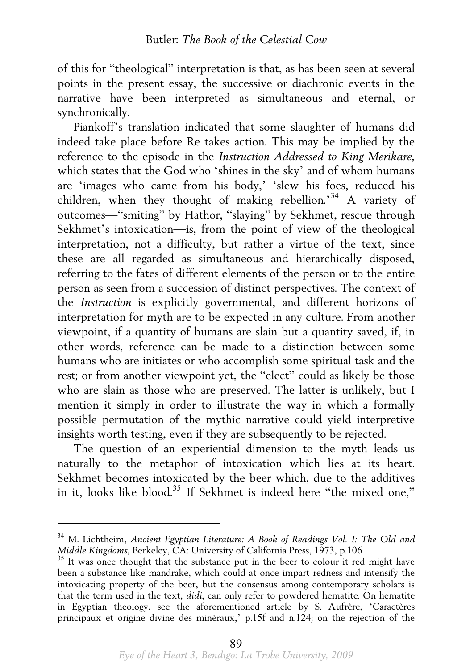of this for "theological" interpretation is that, as has been seen at several points in the present essay, the successive or diachronic events in the narrative have been interpreted as simultaneous and eternal, or synchronically.

 Piankoff's translation indicated that some slaughter of humans did indeed take place before Re takes action. This may be implied by the reference to the episode in the *Instruction Addressed to King Merikare*, which states that the God who 'shines in the sky' and of whom humans are 'images who came from his body,' 'slew his foes, reduced his children, when they thought of making rebellion.<sup>[34](#page-16-0)</sup> A variety of outcomes—"smiting" by Hathor, "slaying" by Sekhmet, rescue through Sekhmet's intoxication—is, from the point of view of the theological interpretation, not a difficulty, but rather a virtue of the text, since these are all regarded as simultaneous and hierarchically disposed, referring to the fates of different elements of the person or to the entire person as seen from a succession of distinct perspectives. The context of the *Instruction* is explicitly governmental, and different horizons of interpretation for myth are to be expected in any culture. From another viewpoint, if a quantity of humans are slain but a quantity saved, if, in other words, reference can be made to a distinction between some humans who are initiates or who accomplish some spiritual task and the rest; or from another viewpoint yet, the "elect" could as likely be those who are slain as those who are preserved. The latter is unlikely, but I mention it simply in order to illustrate the way in which a formally possible permutation of the mythic narrative could yield interpretive insights worth testing, even if they are subsequently to be rejected.

 The question of an experiential dimension to the myth leads us naturally to the metaphor of intoxication which lies at its heart. Sekhmet becomes intoxicated by the beer which, due to the additives in it, looks like blood.<sup>[35](#page-16-1)</sup> If Sekhmet is indeed here "the mixed one,"

<span id="page-16-0"></span><sup>34</sup> M. Lichtheim, *Ancient Egyptian Literature: A Book of Readings Vol. I: The Old and* 

<span id="page-16-1"></span><sup>&</sup>lt;sup>35</sup> It was once thought that the substance put in the beer to colour it red might have been a substance like mandrake, which could at once impart redness and intensify the intoxicating property of the beer, but the consensus among contemporary scholars is that the term used in the text, *didi*, can only refer to powdered hematite. On hematite in Egyptian theology, see the aforementioned article by S. Aufrère, 'Caractères principaux et origine divine des minéraux,' p.15f and n.124; on the rejection of the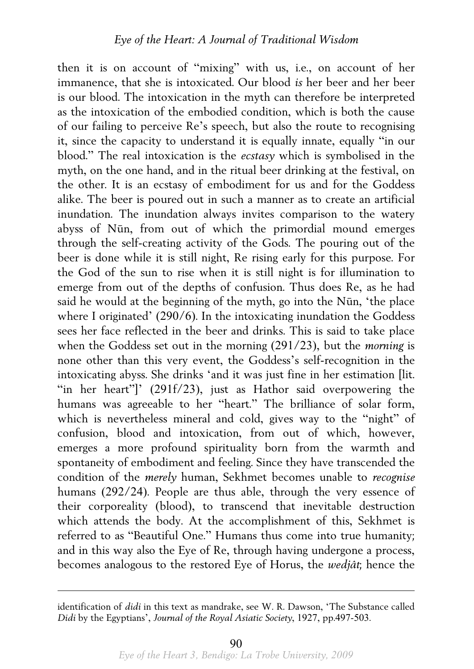then it is on account of "mixing" with us, i.e., on account of her immanence, that she is intoxicated. Our blood *is* her beer and her beer is our blood. The intoxication in the myth can therefore be interpreted as the intoxication of the embodied condition, which is both the cause of our failing to perceive Re's speech, but also the route to recognising it, since the capacity to understand it is equally innate, equally "in our blood." The real intoxication is the *ecstasy* which is symbolised in the myth, on the one hand, and in the ritual beer drinking at the festival, on the other. It is an ecstasy of embodiment for us and for the Goddess alike. The beer is poured out in such a manner as to create an artificial inundation. The inundation always invites comparison to the watery abyss of Nūn, from out of which the primordial mound emerges through the self-creating activity of the Gods. The pouring out of the beer is done while it is still night, Re rising early for this purpose. For the God of the sun to rise when it is still night is for illumination to emerge from out of the depths of confusion. Thus does Re, as he had said he would at the beginning of the myth, go into the Nūn, 'the place where I originated' (290/6). In the intoxicating inundation the Goddess sees her face reflected in the beer and drinks. This is said to take place when the Goddess set out in the morning (291/23), but the *morning* is none other than this very event, the Goddess's self-recognition in the intoxicating abyss. She drinks 'and it was just fine in her estimation [lit. "in her heart"]' (291f/23), just as Hathor said overpowering the humans was agreeable to her "heart." The brilliance of solar form, which is nevertheless mineral and cold, gives way to the "night" of confusion, blood and intoxication, from out of which, however, emerges a more profound spirituality born from the warmth and spontaneity of embodiment and feeling. Since they have transcended the condition of the *merely* human, Sekhmet becomes unable to *recognise* humans (292/24). People are thus able, through the very essence of their corporeality (blood), to transcend that inevitable destruction which attends the body. At the accomplishment of this, Sekhmet is referred to as "Beautiful One." Humans thus come into true humanity; and in this way also the Eye of Re, through having undergone a process, becomes analogous to the restored Eye of Horus, the *wedjât*; hence the

identification of *didi* in this text as mandrake, see W. R. Dawson, 'The Substance called *Didi* by the Egyptians', *Journal of the Royal Asiatic Society*, 1927, pp.497-503.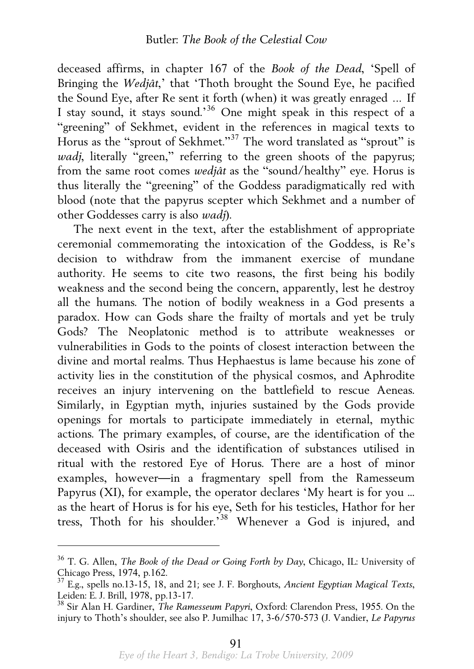deceased affirms, in chapter 167 of the *Book of the Dead*, 'Spell of Bringing the *Wedjât*,' that 'Thoth brought the Sound Eye, he pacified the Sound Eye, after Re sent it forth (when) it was greatly enraged … If I stay sound, it stays sound.'[36](#page-18-0) One might speak in this respect of a "greening" of Sekhmet, evident in the references in magical texts to Horus as the "sprout of Sekhmet."[37](#page-18-1) The word translated as "sprout" is *wadj*, literally "green," referring to the green shoots of the papyrus; from the same root comes *wedjât* as the "sound/healthy" eye. Horus is thus literally the "greening" of the Goddess paradigmatically red with blood (note that the papyrus scepter which Sekhmet and a number of other Goddesses carry is also *wadj*).

 The next event in the text, after the establishment of appropriate ceremonial commemorating the intoxication of the Goddess, is Re's decision to withdraw from the immanent exercise of mundane authority. He seems to cite two reasons, the first being his bodily weakness and the second being the concern, apparently, lest he destroy all the humans. The notion of bodily weakness in a God presents a paradox. How can Gods share the frailty of mortals and yet be truly Gods? The Neoplatonic method is to attribute weaknesses or vulnerabilities in Gods to the points of closest interaction between the divine and mortal realms. Thus Hephaestus is lame because his zone of activity lies in the constitution of the physical cosmos, and Aphrodite receives an injury intervening on the battlefield to rescue Aeneas. Similarly, in Egyptian myth, injuries sustained by the Gods provide openings for mortals to participate immediately in eternal, mythic actions. The primary examples, of course, are the identification of the deceased with Osiris and the identification of substances utilised in ritual with the restored Eye of Horus. There are a host of minor examples, however—in a fragmentary spell from the Ramesseum Papyrus (XI), for example, the operator declares 'My heart is for you ... as the heart of Horus is for his eye, Seth for his testicles, Hathor for her tress, Thoth for his shoulder.'[38](#page-18-2) Whenever a God is injured, and

<span id="page-18-0"></span><sup>36</sup> T. G. Allen, *The Book of the Dead or Going Forth by Day*, Chicago, IL: University of Chicago Press, 1974, p.162.

<span id="page-18-1"></span><sup>37</sup> E.g., spells no.13-15, 18, and 21; see J. F. Borghouts, *Ancient Egyptian Magical Texts*, Leiden: E. J. Brill, 1978, pp.13-17.

<span id="page-18-2"></span><sup>38</sup> Sir Alan H. Gardiner, *The Ramesseum Papyri*, Oxford: Clarendon Press, 1955. On the injury to Thoth's shoulder, see also P. Jumilhac 17, 3-6/570-573 (J. Vandier, *Le Papyrus*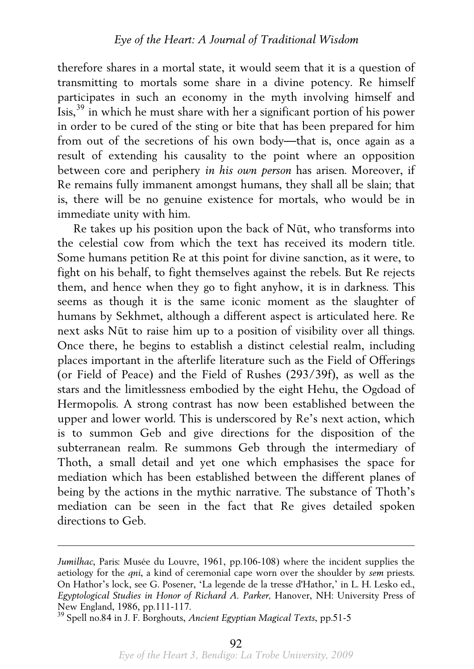therefore shares in a mortal state, it would seem that it is a question of transmitting to mortals some share in a divine potency. Re himself participates in such an economy in the myth involving himself and Isis,[39](#page-19-0) in which he must share with her a significant portion of his power in order to be cured of the sting or bite that has been prepared for him from out of the secretions of his own body—that is, once again as a result of extending his causality to the point where an opposition between core and periphery *in his own person* has arisen. Moreover, if Re remains fully immanent amongst humans, they shall all be slain; that is, there will be no genuine existence for mortals, who would be in immediate unity with him.

 Re takes up his position upon the back of Nūt, who transforms into the celestial cow from which the text has received its modern title. Some humans petition Re at this point for divine sanction, as it were, to fight on his behalf, to fight themselves against the rebels. But Re rejects them, and hence when they go to fight anyhow, it is in darkness. This seems as though it is the same iconic moment as the slaughter of humans by Sekhmet, although a different aspect is articulated here. Re next asks Nūt to raise him up to a position of visibility over all things. Once there, he begins to establish a distinct celestial realm, including places important in the afterlife literature such as the Field of Offerings (or Field of Peace) and the Field of Rushes (293/39f), as well as the stars and the limitlessness embodied by the eight Hehu, the Ogdoad of Hermopolis. A strong contrast has now been established between the upper and lower world. This is underscored by Re's next action, which is to summon Geb and give directions for the disposition of the subterranean realm. Re summons Geb through the intermediary of Thoth, a small detail and yet one which emphasises the space for mediation which has been established between the different planes of being by the actions in the mythic narrative. The substance of Thoth's mediation can be seen in the fact that Re gives detailed spoken directions to Geb.

*Jumilhac*, Paris: Musée du Louvre, 1961, pp.106-108) where the incident supplies the aetiology for the *qni*, a kind of ceremonial cape worn over the shoulder by *sem* priests. On Hathor's lock, see G. Posener, 'La legende de la tresse d'Hathor,' in L. H. Lesko ed., *Egyptological Studies in Honor of Richard A. Parker,* Hanover, NH: University Press of New England, 1986, pp.111-117.

<span id="page-19-0"></span><sup>39</sup> Spell no.84 in J. F. Borghouts, *Ancient Egyptian Magical Texts*, pp.51-5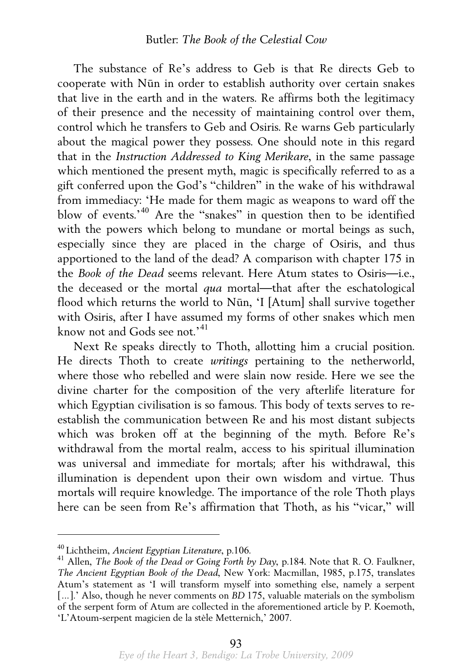The substance of Re's address to Geb is that Re directs Geb to cooperate with Nūn in order to establish authority over certain snakes that live in the earth and in the waters. Re affirms both the legitimacy of their presence and the necessity of maintaining control over them, control which he transfers to Geb and Osiris. Re warns Geb particularly about the magical power they possess. One should note in this regard that in the *Instruction Addressed to King Merikare*, in the same passage which mentioned the present myth, magic is specifically referred to as a gift conferred upon the God's "children" in the wake of his withdrawal from immediacy: 'He made for them magic as weapons to ward off the blow of events.'[40](#page-20-0) Are the "snakes" in question then to be identified with the powers which belong to mundane or mortal beings as such, especially since they are placed in the charge of Osiris, and thus apportioned to the land of the dead? A comparison with chapter 175 in the *Book of the Dead* seems relevant. Here Atum states to Osiris—i.e., the deceased or the mortal *qua* mortal—that after the eschatological flood which returns the world to Nūn, 'I [Atum] shall survive together with Osiris, after I have assumed my forms of other snakes which men know not and Gods see not.<sup>[41](#page-20-1)</sup>

 Next Re speaks directly to Thoth, allotting him a crucial position. He directs Thoth to create *writings* pertaining to the netherworld, where those who rebelled and were slain now reside. Here we see the divine charter for the composition of the very afterlife literature for which Egyptian civilisation is so famous. This body of texts serves to reestablish the communication between Re and his most distant subjects which was broken off at the beginning of the myth. Before Re's withdrawal from the mortal realm, access to his spiritual illumination was universal and immediate for mortals; after his withdrawal, this illumination is dependent upon their own wisdom and virtue. Thus mortals will require knowledge. The importance of the role Thoth plays here can be seen from Re's affirmation that Thoth, as his "vicar," will

<span id="page-20-1"></span><span id="page-20-0"></span><sup>40</sup> Lichtheim, *Ancient Egyptian Literature*, p.106. 41 Allen, *The Book of the Dead or Going Forth by Day*, p.184. Note that R. O. Faulkner, *The Ancient Egyptian Book of the Dead*, New York: Macmillan, 1985, p.175, translates Atum's statement as 'I will transform myself into something else, namely a serpent [...].' Also, though he never comments on *BD* 175, valuable materials on the symbolism of the serpent form of Atum are collected in the aforementioned article by P. Koemoth, 'L'Atoum-serpent magicien de la stèle Metternich,' 2007.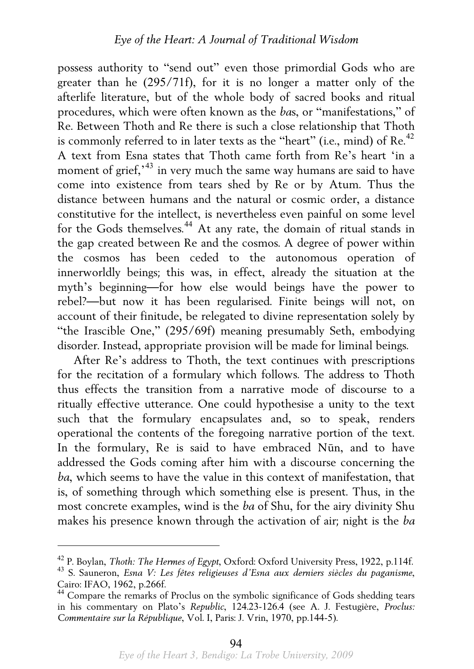possess authority to "send out" even those primordial Gods who are greater than he (295/71f), for it is no longer a matter only of the afterlife literature, but of the whole body of sacred books and ritual procedures, which were often known as the *ba*s, or "manifestations," of Re. Between Thoth and Re there is such a close relationship that Thoth is commonly referred to in later texts as the "heart" (i.e., mind) of Re.<sup>[42](#page-21-0)</sup> A text from Esna states that Thoth came forth from Re's heart 'in a moment of grief,<sup>1[43](#page-21-1)</sup> in very much the same way humans are said to have come into existence from tears shed by Re or by Atum. Thus the distance between humans and the natural or cosmic order, a distance constitutive for the intellect, is nevertheless even painful on some level for the Gods themselves.[44](#page-21-2) At any rate, the domain of ritual stands in the gap created between Re and the cosmos. A degree of power within the cosmos has been ceded to the autonomous operation of innerworldly beings; this was, in effect, already the situation at the myth's beginning—for how else would beings have the power to rebel?—but now it has been regularised. Finite beings will not, on account of their finitude, be relegated to divine representation solely by "the Irascible One," (295/69f) meaning presumably Seth, embodying disorder. Instead, appropriate provision will be made for liminal beings.

 After Re's address to Thoth, the text continues with prescriptions for the recitation of a formulary which follows. The address to Thoth thus effects the transition from a narrative mode of discourse to a ritually effective utterance. One could hypothesise a unity to the text such that the formulary encapsulates and, so to speak, renders operational the contents of the foregoing narrative portion of the text. In the formulary, Re is said to have embraced Nūn, and to have addressed the Gods coming after him with a discourse concerning the *ba*, which seems to have the value in this context of manifestation, that is, of something through which something else is present. Thus, in the most concrete examples, wind is the *ba* of Shu, for the airy divinity Shu makes his presence known through the activation of air; night is the *ba*

<span id="page-21-1"></span><span id="page-21-0"></span><sup>42</sup> P. Boylan, *Thoth: The Hermes of Egypt*, Oxford: Oxford University Press, 1922, p.114f. 43 S. Sauneron, *Esna V: Les fêtes religieuses d'Esna aux derniers siècles du paganisme*, Cairo: IFAO, 1962, p.266f.

<span id="page-21-2"></span><sup>&</sup>lt;sup>44</sup> Compare the remarks of Proclus on the symbolic significance of Gods shedding tears in his commentary on Plato's *Republic*, 124.23-126.4 (see A. J. Festugière, *Proclus: Commentaire sur la République*, Vol. I, Paris: J. Vrin, 1970, pp.144-5).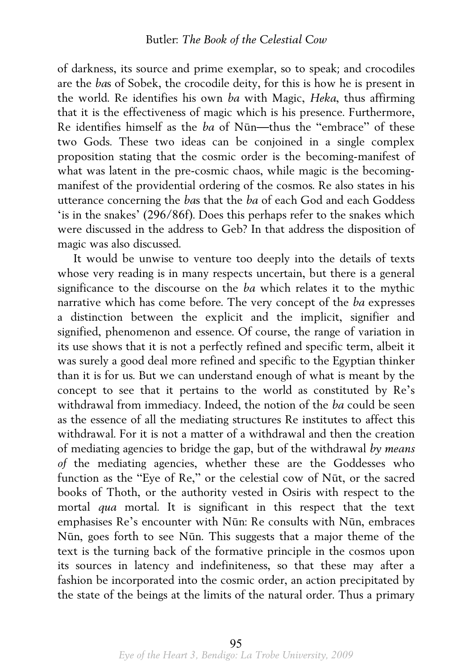of darkness, its source and prime exemplar, so to speak; and crocodiles are the *ba*s of Sobek, the crocodile deity, for this is how he is present in the world. Re identifies his own *ba* with Magic, *Heka*, thus affirming that it is the effectiveness of magic which is his presence. Furthermore, Re identifies himself as the *ba* of Nūn—thus the "embrace" of these two Gods. These two ideas can be conjoined in a single complex proposition stating that the cosmic order is the becoming-manifest of what was latent in the pre-cosmic chaos, while magic is the becomingmanifest of the providential ordering of the cosmos. Re also states in his utterance concerning the *ba*s that the *ba* of each God and each Goddess 'is in the snakes' (296/86f). Does this perhaps refer to the snakes which were discussed in the address to Geb? In that address the disposition of magic was also discussed.

 It would be unwise to venture too deeply into the details of texts whose very reading is in many respects uncertain, but there is a general significance to the discourse on the *ba* which relates it to the mythic narrative which has come before. The very concept of the *ba* expresses a distinction between the explicit and the implicit, signifier and signified, phenomenon and essence. Of course, the range of variation in its use shows that it is not a perfectly refined and specific term, albeit it was surely a good deal more refined and specific to the Egyptian thinker than it is for us. But we can understand enough of what is meant by the concept to see that it pertains to the world as constituted by Re's withdrawal from immediacy. Indeed, the notion of the *ba* could be seen as the essence of all the mediating structures Re institutes to affect this withdrawal. For it is not a matter of a withdrawal and then the creation of mediating agencies to bridge the gap, but of the withdrawal *by means of* the mediating agencies, whether these are the Goddesses who function as the "Eye of Re," or the celestial cow of Nūt, or the sacred books of Thoth, or the authority vested in Osiris with respect to the mortal *qua* mortal. It is significant in this respect that the text emphasises Re's encounter with Nūn: Re consults with Nūn, embraces Nūn, goes forth to see Nūn. This suggests that a major theme of the text is the turning back of the formative principle in the cosmos upon its sources in latency and indefiniteness, so that these may after a fashion be incorporated into the cosmic order, an action precipitated by the state of the beings at the limits of the natural order. Thus a primary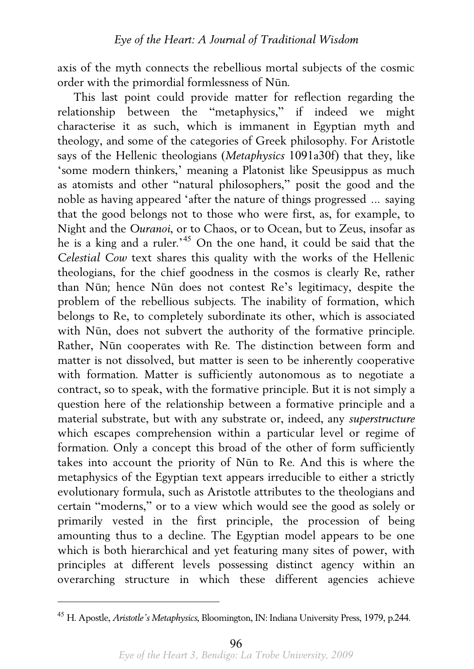axis of the myth connects the rebellious mortal subjects of the cosmic order with the primordial formlessness of Nūn.

 This last point could provide matter for reflection regarding the relationship between the "metaphysics," if indeed we might characterise it as such, which is immanent in Egyptian myth and theology, and some of the categories of Greek philosophy. For Aristotle says of the Hellenic theologians (*Metaphysics* 1091a30f) that they, like 'some modern thinkers,' meaning a Platonist like Speusippus as much as atomists and other "natural philosophers," posit the good and the noble as having appeared 'after the nature of things progressed … saying that the good belongs not to those who were first, as, for example, to Night and the *Ouranoi*, or to Chaos, or to Ocean, but to Zeus, insofar as he is a king and a ruler.<sup>[45](#page-23-0)</sup> On the one hand, it could be said that the *Celestial Cow* text shares this quality with the works of the Hellenic theologians, for the chief goodness in the cosmos is clearly Re, rather than Nūn; hence Nūn does not contest Re's legitimacy, despite the problem of the rebellious subjects. The inability of formation, which belongs to Re, to completely subordinate its other, which is associated with Nūn, does not subvert the authority of the formative principle. Rather, Nūn cooperates with Re. The distinction between form and matter is not dissolved, but matter is seen to be inherently cooperative with formation. Matter is sufficiently autonomous as to negotiate a contract, so to speak, with the formative principle. But it is not simply a question here of the relationship between a formative principle and a material substrate, but with any substrate or, indeed, any *superstructure* which escapes comprehension within a particular level or regime of formation. Only a concept this broad of the other of form sufficiently takes into account the priority of Nūn to Re. And this is where the metaphysics of the Egyptian text appears irreducible to either a strictly evolutionary formula, such as Aristotle attributes to the theologians and certain "moderns," or to a view which would see the good as solely or primarily vested in the first principle, the procession of being amounting thus to a decline. The Egyptian model appears to be one which is both hierarchical and yet featuring many sites of power, with principles at different levels possessing distinct agency within an overarching structure in which these different agencies achieve

<span id="page-23-0"></span><sup>45</sup> H. Apostle, *Aristotle's Metaphysics*, Bloomington, IN: Indiana University Press, 1979, p.244.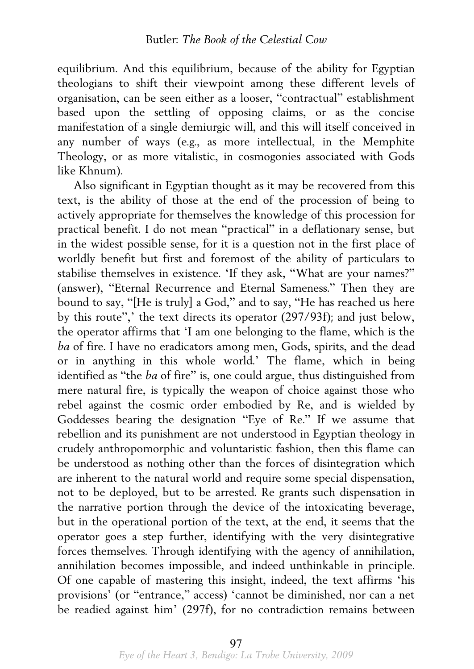equilibrium. And this equilibrium, because of the ability for Egyptian theologians to shift their viewpoint among these different levels of organisation, can be seen either as a looser, "contractual" establishment based upon the settling of opposing claims, or as the concise manifestation of a single demiurgic will, and this will itself conceived in any number of ways (e.g., as more intellectual, in the Memphite Theology, or as more vitalistic, in cosmogonies associated with Gods like Khnum).

 Also significant in Egyptian thought as it may be recovered from this text, is the ability of those at the end of the procession of being to actively appropriate for themselves the knowledge of this procession for practical benefit. I do not mean "practical" in a deflationary sense, but in the widest possible sense, for it is a question not in the first place of worldly benefit but first and foremost of the ability of particulars to stabilise themselves in existence. 'If they ask, "What are your names?" (answer), "Eternal Recurrence and Eternal Sameness." Then they are bound to say, "[He is truly] a God," and to say, "He has reached us here by this route",' the text directs its operator (297/93f); and just below, the operator affirms that 'I am one belonging to the flame, which is the *ba* of fire. I have no eradicators among men, Gods, spirits, and the dead or in anything in this whole world.' The flame, which in being identified as "the *ba* of fire" is, one could argue, thus distinguished from mere natural fire, is typically the weapon of choice against those who rebel against the cosmic order embodied by Re, and is wielded by Goddesses bearing the designation "Eye of Re." If we assume that rebellion and its punishment are not understood in Egyptian theology in crudely anthropomorphic and voluntaristic fashion, then this flame can be understood as nothing other than the forces of disintegration which are inherent to the natural world and require some special dispensation, not to be deployed, but to be arrested. Re grants such dispensation in the narrative portion through the device of the intoxicating beverage, but in the operational portion of the text, at the end, it seems that the operator goes a step further, identifying with the very disintegrative forces themselves. Through identifying with the agency of annihilation, annihilation becomes impossible, and indeed unthinkable in principle. Of one capable of mastering this insight, indeed, the text affirms 'his provisions' (or "entrance," access) 'cannot be diminished, nor can a net be readied against him' (297f), for no contradiction remains between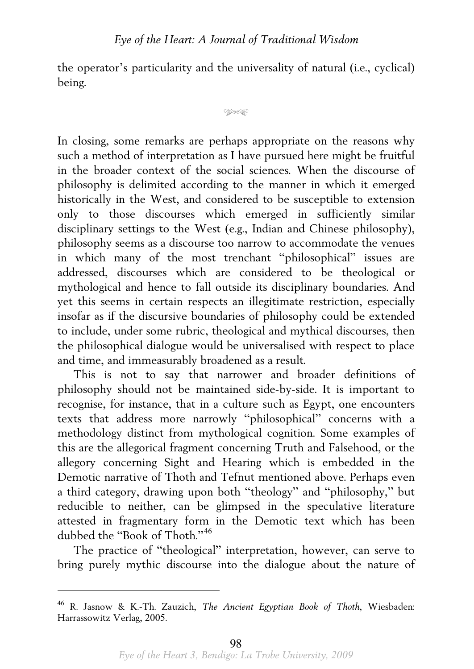the operator's particularity and the universality of natural (i.e., cyclical) being.

```
\circledast
```
In closing, some remarks are perhaps appropriate on the reasons why such a method of interpretation as I have pursued here might be fruitful in the broader context of the social sciences. When the discourse of philosophy is delimited according to the manner in which it emerged historically in the West, and considered to be susceptible to extension only to those discourses which emerged in sufficiently similar disciplinary settings to the West (e.g., Indian and Chinese philosophy), philosophy seems as a discourse too narrow to accommodate the venues in which many of the most trenchant "philosophical" issues are addressed, discourses which are considered to be theological or mythological and hence to fall outside its disciplinary boundaries. And yet this seems in certain respects an illegitimate restriction, especially insofar as if the discursive boundaries of philosophy could be extended to include, under some rubric, theological and mythical discourses, then the philosophical dialogue would be universalised with respect to place and time, and immeasurably broadened as a result.

 This is not to say that narrower and broader definitions of philosophy should not be maintained side-by-side. It is important to recognise, for instance, that in a culture such as Egypt, one encounters texts that address more narrowly "philosophical" concerns with a methodology distinct from mythological cognition. Some examples of this are the allegorical fragment concerning Truth and Falsehood, or the allegory concerning Sight and Hearing which is embedded in the Demotic narrative of Thoth and Tefnut mentioned above. Perhaps even a third category, drawing upon both "theology" and "philosophy," but reducible to neither, can be glimpsed in the speculative literature attested in fragmentary form in the Demotic text which has been dubbed the "Book of Thoth."<sup>[46](#page-25-0)</sup>

 The practice of "theological" interpretation, however, can serve to bring purely mythic discourse into the dialogue about the nature of

<span id="page-25-0"></span><sup>46</sup> R. Jasnow & K.-Th. Zauzich, *The Ancient Egyptian Book of Thoth*, Wiesbaden: Harrassowitz Verlag, 2005.